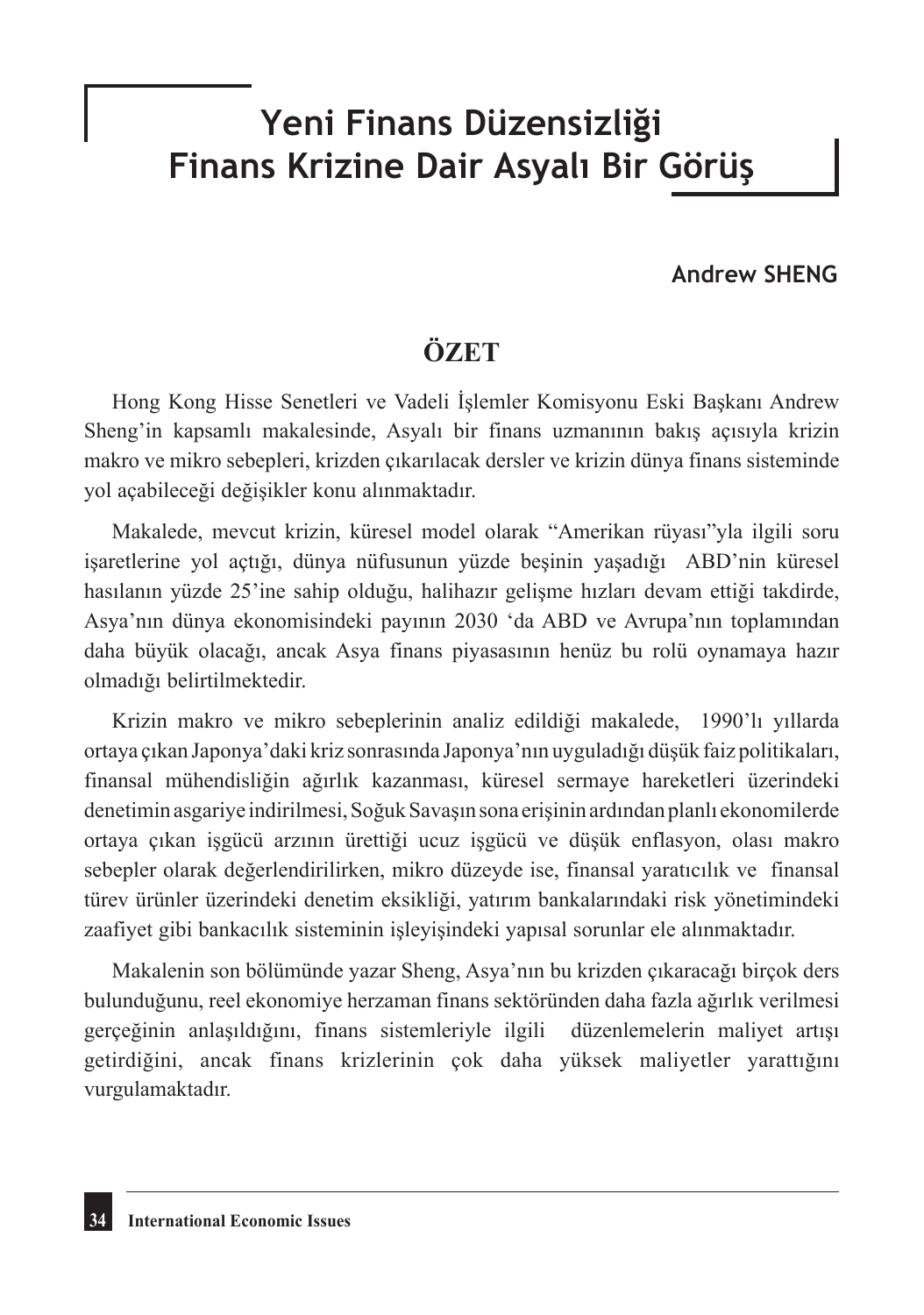# **Yeni Finans Düzensizliği Finans Krizine Dair Asyalı Bir Görüş**

### **Andrew SHENG**

# **ÖZET**

Hong Kong Hisse Senetleri ve Vadeli İşlemler Komisyonu Eski Başkanı Andrew Sheng'in kapsamlı makalesinde, Asyalı bir finans uzmanının bakış açısıyla krizin makro ve mikro sebepleri, krizden çıkarılacak dersler ve krizin dünya finans sisteminde yol açabileceği değişikler konu alınmaktadır.

Makalede, mevcut krizin, küresel model olarak "Amerikan rüyası"yla ilgili soru işaretlerine yol açtığı, dünya nüfusunun yüzde beşinin yaşadığı ABD'nin küresel hasılanın yüzde 25'ine sahip olduğu, halihazır gelişme hızları devam ettiği takdirde, Asya'nın dünya ekonomisindeki payının 2030 'da ABD ve Avrupa'nın toplamından daha büyük olacağı, ancak Asya finans piyasasının henüz bu rolü oynamaya hazır olmadığı belirtilmektedir.

Krizin makro ve mikro sebeplerinin analiz edildiği makalede, 1990'lı yıllarda ortaya çıkan Japonya'daki kriz sonrasında Japonya'nın uyguladığı düşük faiz politikaları, finansal mühendisliğin ağırlık kazanması, küresel sermaye hareketleri üzerindeki denetimin asgariye indirilmesi, Soğuk Savaşın sona erişinin ardından planlı ekonomilerde ortaya çıkan işgücü arzının ürettiği ucuz işgücü ve düşük enflasyon, olası makro sebepler olarak değerlendirilirken, mikro düzeyde ise, finansal yaratıcılık ve finansal türev ürünler üzerindeki denetim eksikliği, yatırım bankalarındaki risk yönetimindeki zaafiyet gibi bankacılık sisteminin işleyişindeki yapısal sorunlar ele alınmaktadır.

Makalenin son bölümünde yazar Sheng, Asya'nın bu krizden çıkaracağı birçok ders bulunduğunu, reel ekonomiye herzaman finans sektöründen daha fazla ağırlık verilmesi gerçeğinin anlaşıldığını, finans sistemleriyle ilgili düzenlemelerin maliyet artışı getirdiğini, ancak finans krizlerinin çok daha yüksek maliyetler yarattığını vurgulamaktadır.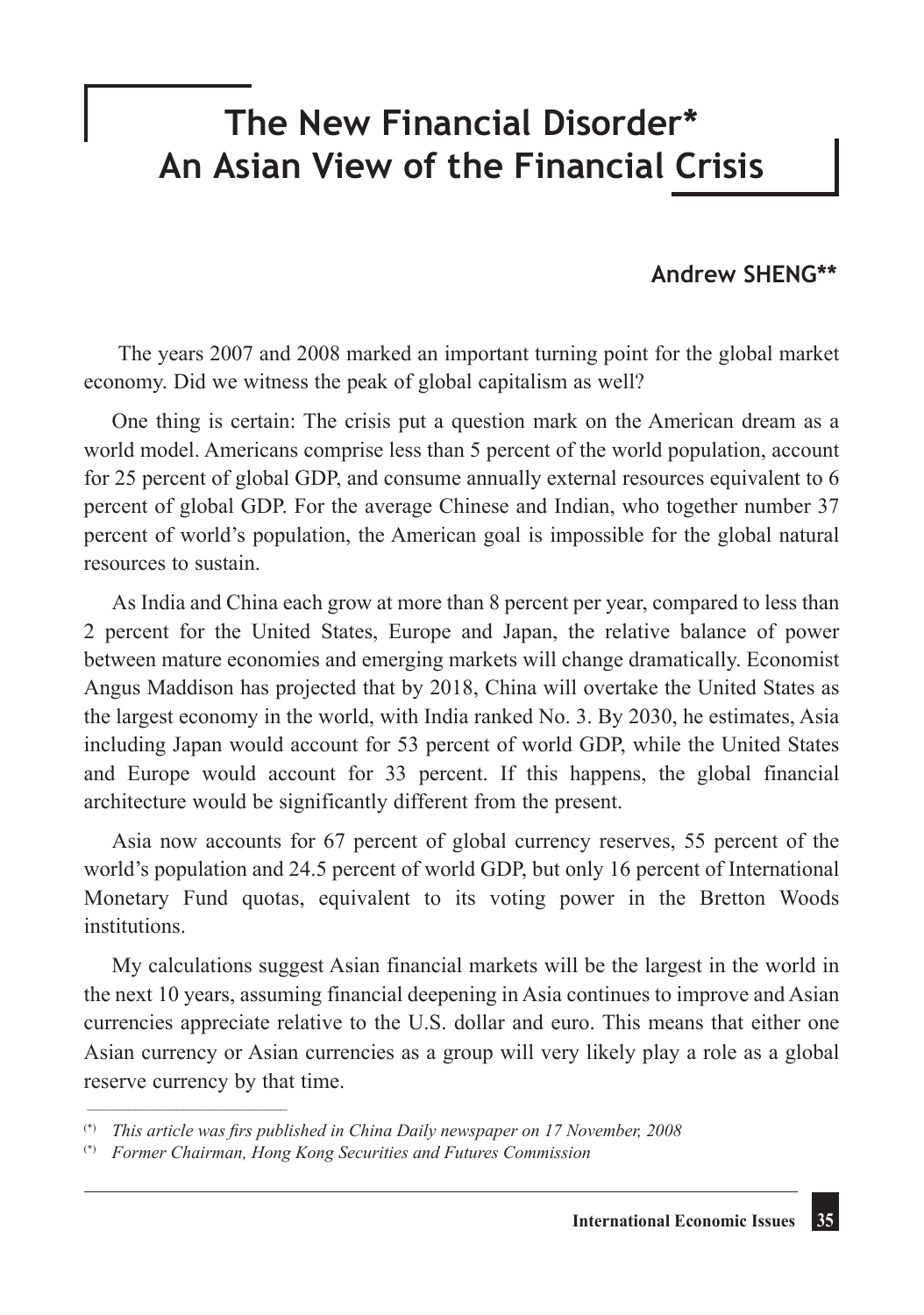# **The New Financial Disorder\* An Asian View of the Financial Crisis**

## **Andrew SHENG\*\***

The years 2007 and 2008 marked an important turning point for the global market economy. Did we witness the peak of global capitalism as well?

One thing is certain: The crisis put a question mark on the American dream as a world model. Americans comprise less than 5 percent of the world population, account for 25 percent of global GDP, and consume annually external resources equivalent to 6 percent of global GDP. For the average Chinese and Indian, who together number 37 percent of world's population, the American goal is impossible for the global natural resources to sustain.

As India and China each grow at more than 8 percent per year, compared to less than 2 percent for the United States, Europe and Japan, the relative balance of power between mature economies and emerging markets will change dramatically. Economist Angus Maddison has projected that by 2018, China will overtake the United States as the largest economy in the world, with India ranked No. 3. By 2030, he estimates, Asia including Japan would account for 53 percent of world GDP, while the United States and Europe would account for 33 percent. If this happens, the global financial architecture would be significantly different from the present.

Asia now accounts for 67 percent of global currency reserves, 55 percent of the world's population and 24.5 percent of world GDP, but only 16 percent of International Monetary Fund quotas, equivalent to its voting power in the Bretton Woods institutions.

My calculations suggest Asian financial markets will be the largest in the world in the next 10 years, assuming financial deepening in Asia continues to improve and Asian currencies appreciate relative to the U.S. dollar and euro. This means that either one Asian currency or Asian currencies as a group will very likely play a role as a global reserve currency by that time.

\_\_\_\_\_\_\_\_\_\_\_\_\_\_\_\_\_\_\_\_\_\_\_\_\_\_\_\_\_

<sup>(\*)</sup> *This article was firs published in China Daily newspaper on 17 November, 2008*

<sup>(\*)</sup> *Former Chairman, Hong Kong Securities and Futures Commission*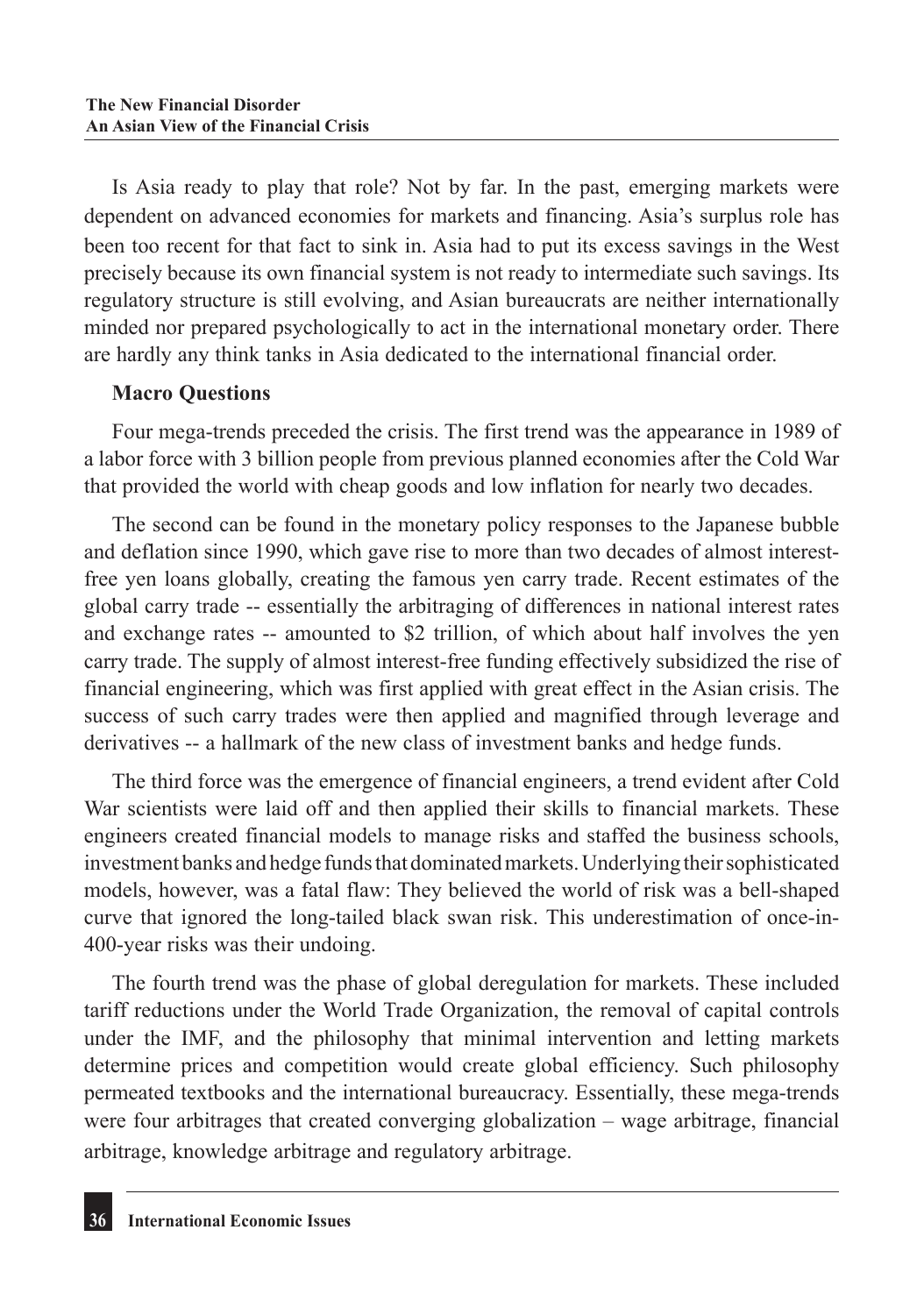Is Asia ready to play that role? Not by far. In the past, emerging markets were dependent on advanced economies for markets and financing. Asia's surplus role has been too recent for that fact to sink in. Asia had to put its excess savings in the West precisely because its own financial system is not ready to intermediate such savings. Its regulatory structure is still evolving, and Asian bureaucrats are neither internationally minded nor prepared psychologically to act in the international monetary order. There are hardly any think tanks in Asia dedicated to the international financial order.

### **Macro Questions**

Four mega-trends preceded the crisis. The first trend was the appearance in 1989 of a labor force with 3 billion people from previous planned economies after the Cold War that provided the world with cheap goods and low inflation for nearly two decades.

The second can be found in the monetary policy responses to the Japanese bubble and deflation since 1990, which gave rise to more than two decades of almost interestfree yen loans globally, creating the famous yen carry trade. Recent estimates of the global carry trade -- essentially the arbitraging of differences in national interest rates and exchange rates -- amounted to \$2 trillion, of which about half involves the yen carry trade. The supply of almost interest-free funding effectively subsidized the rise of financial engineering, which was first applied with great effect in the Asian crisis. The success of such carry trades were then applied and magnified through leverage and derivatives -- a hallmark of the new class of investment banks and hedge funds.

The third force was the emergence of financial engineers, a trend evident after Cold War scientists were laid off and then applied their skills to financial markets. These engineers created financial models to manage risks and staffed the business schools, investment banks and hedge funds that dominated markets. Underlying their sophisticated models, however, was a fatal flaw: They believed the world of risk was a bell-shaped curve that ignored the long-tailed black swan risk. This underestimation of once-in-400-year risks was their undoing.

The fourth trend was the phase of global deregulation for markets. These included tariff reductions under the World Trade Organization, the removal of capital controls under the IMF, and the philosophy that minimal intervention and letting markets determine prices and competition would create global efficiency. Such philosophy permeated textbooks and the international bureaucracy. Essentially, these mega-trends were four arbitrages that created converging globalization – wage arbitrage, financial arbitrage, knowledge arbitrage and regulatory arbitrage.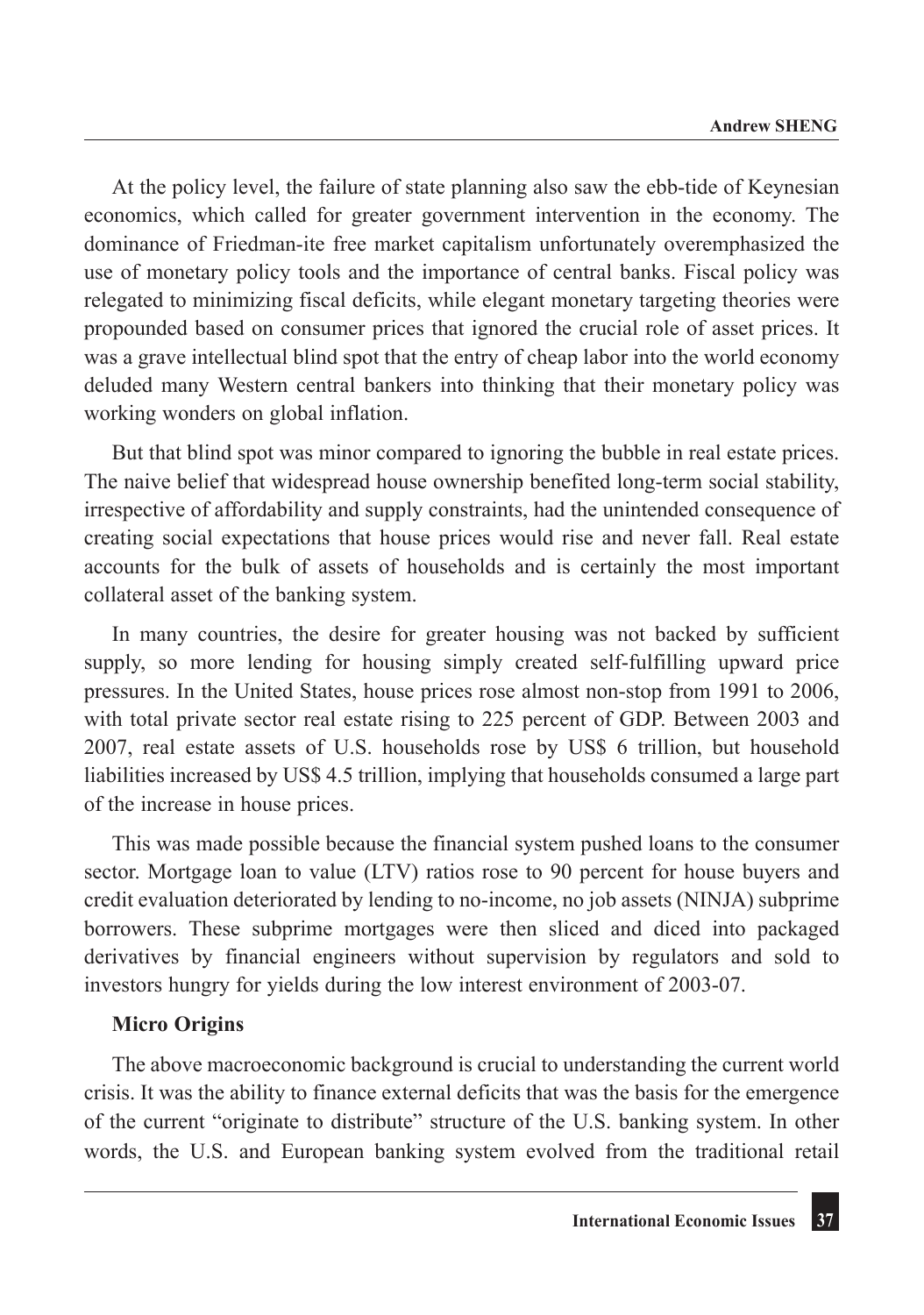At the policy level, the failure of state planning also saw the ebb-tide of Keynesian economics, which called for greater government intervention in the economy. The dominance of Friedman-ite free market capitalism unfortunately overemphasized the use of monetary policy tools and the importance of central banks. Fiscal policy was relegated to minimizing fiscal deficits, while elegant monetary targeting theories were propounded based on consumer prices that ignored the crucial role of asset prices. It was a grave intellectual blind spot that the entry of cheap labor into the world economy deluded many Western central bankers into thinking that their monetary policy was working wonders on global inflation.

But that blind spot was minor compared to ignoring the bubble in real estate prices. The naive belief that widespread house ownership benefited long-term social stability, irrespective of affordability and supply constraints, had the unintended consequence of creating social expectations that house prices would rise and never fall. Real estate accounts for the bulk of assets of households and is certainly the most important collateral asset of the banking system.

In many countries, the desire for greater housing was not backed by sufficient supply, so more lending for housing simply created self-fulfilling upward price pressures. In the United States, house prices rose almost non-stop from 1991 to 2006, with total private sector real estate rising to 225 percent of GDP. Between 2003 and 2007, real estate assets of U.S. households rose by US\$ 6 trillion, but household liabilities increased by US\$ 4.5 trillion, implying that households consumed a large part of the increase in house prices.

This was made possible because the financial system pushed loans to the consumer sector. Mortgage loan to value (LTV) ratios rose to 90 percent for house buyers and credit evaluation deteriorated by lending to no-income, no job assets (NINJA) subprime borrowers. These subprime mortgages were then sliced and diced into packaged derivatives by financial engineers without supervision by regulators and sold to investors hungry for yields during the low interest environment of 2003-07.

#### **Micro Origins**

The above macroeconomic background is crucial to understanding the current world crisis. It was the ability to finance external deficits that was the basis for the emergence of the current "originate to distribute" structure of the U.S. banking system. In other words, the U.S. and European banking system evolved from the traditional retail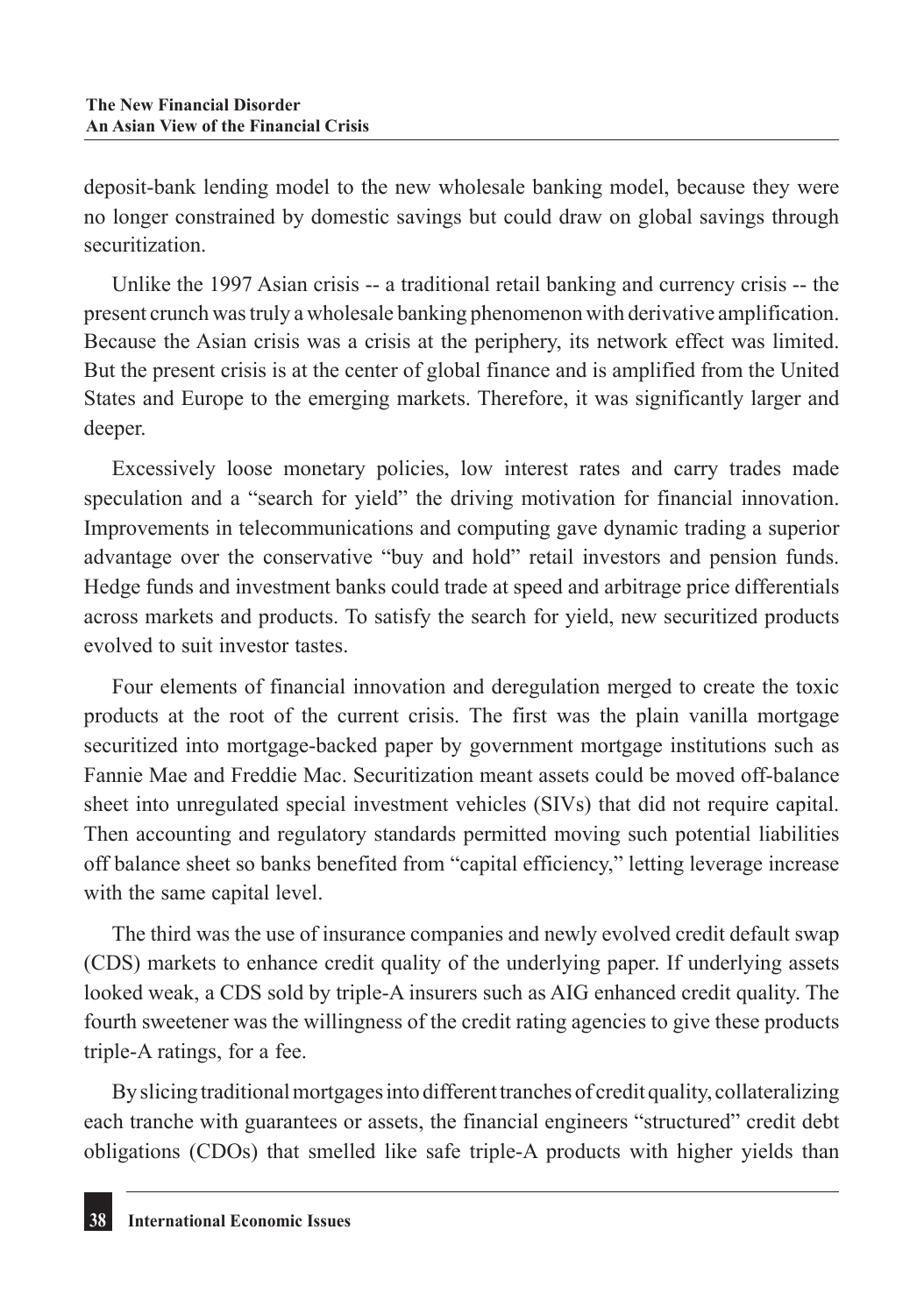deposit-bank lending model to the new wholesale banking model, because they were no longer constrained by domestic savings but could draw on global savings through securitization.

Unlike the 1997 Asian crisis -- a traditional retail banking and currency crisis -- the present crunch was truly a wholesale banking phenomenon with derivative amplification. Because the Asian crisis was a crisis at the periphery, its network effect was limited. But the present crisis is at the center of global finance and is amplified from the United States and Europe to the emerging markets. Therefore, it was significantly larger and deeper.

Excessively loose monetary policies, low interest rates and carry trades made speculation and a "search for yield" the driving motivation for financial innovation. Improvements in telecommunications and computing gave dynamic trading a superior advantage over the conservative "buy and hold" retail investors and pension funds. Hedge funds and investment banks could trade at speed and arbitrage price differentials across markets and products. To satisfy the search for yield, new securitized products evolved to suit investor tastes.

Four elements of financial innovation and deregulation merged to create the toxic products at the root of the current crisis. The first was the plain vanilla mortgage securitized into mortgage-backed paper by government mortgage institutions such as Fannie Mae and Freddie Mac. Securitization meant assets could be moved off-balance sheet into unregulated special investment vehicles (SIVs) that did not require capital. Then accounting and regulatory standards permitted moving such potential liabilities off balance sheet so banks benefited from "capital efficiency," letting leverage increase with the same capital level.

The third was the use of insurance companies and newly evolved credit default swap (CDS) markets to enhance credit quality of the underlying paper. If underlying assets looked weak, a CDS sold by triple-A insurers such as AIG enhanced credit quality. The fourth sweetener was the willingness of the credit rating agencies to give these products triple-A ratings, for a fee.

By slicing traditional mortgages into different tranches of credit quality, collateralizing each tranche with guarantees or assets, the financial engineers "structured" credit debt obligations (CDOs) that smelled like safe triple-A products with higher yields than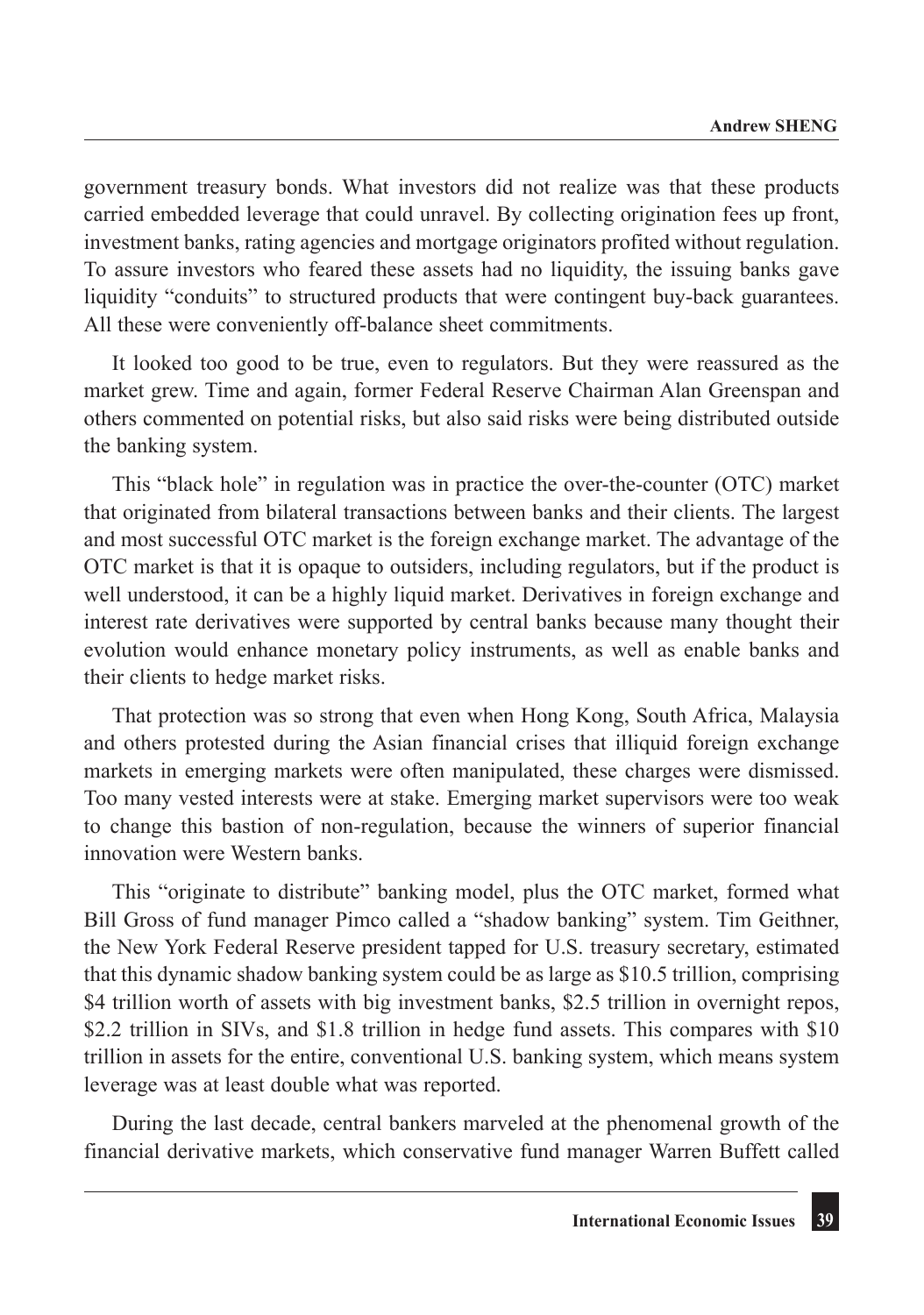government treasury bonds. What investors did not realize was that these products carried embedded leverage that could unravel. By collecting origination fees up front, investment banks, rating agencies and mortgage originators profited without regulation. To assure investors who feared these assets had no liquidity, the issuing banks gave liquidity "conduits" to structured products that were contingent buy-back guarantees. All these were conveniently off-balance sheet commitments.

It looked too good to be true, even to regulators. But they were reassured as the market grew. Time and again, former Federal Reserve Chairman Alan Greenspan and others commented on potential risks, but also said risks were being distributed outside the banking system.

This "black hole" in regulation was in practice the over-the-counter (OTC) market that originated from bilateral transactions between banks and their clients. The largest and most successful OTC market is the foreign exchange market. The advantage of the OTC market is that it is opaque to outsiders, including regulators, but if the product is well understood, it can be a highly liquid market. Derivatives in foreign exchange and interest rate derivatives were supported by central banks because many thought their evolution would enhance monetary policy instruments, as well as enable banks and their clients to hedge market risks.

That protection was so strong that even when Hong Kong, South Africa, Malaysia and others protested during the Asian financial crises that illiquid foreign exchange markets in emerging markets were often manipulated, these charges were dismissed. Too many vested interests were at stake. Emerging market supervisors were too weak to change this bastion of non-regulation, because the winners of superior financial innovation were Western banks.

This "originate to distribute" banking model, plus the OTC market, formed what Bill Gross of fund manager Pimco called a "shadow banking" system. Tim Geithner, the New York Federal Reserve president tapped for U.S. treasury secretary, estimated that this dynamic shadow banking system could be as large as \$10.5 trillion, comprising \$4 trillion worth of assets with big investment banks, \$2.5 trillion in overnight repos, \$2.2 trillion in SIVs, and \$1.8 trillion in hedge fund assets. This compares with \$10 trillion in assets for the entire, conventional U.S. banking system, which means system leverage was at least double what was reported.

During the last decade, central bankers marveled at the phenomenal growth of the financial derivative markets, which conservative fund manager Warren Buffett called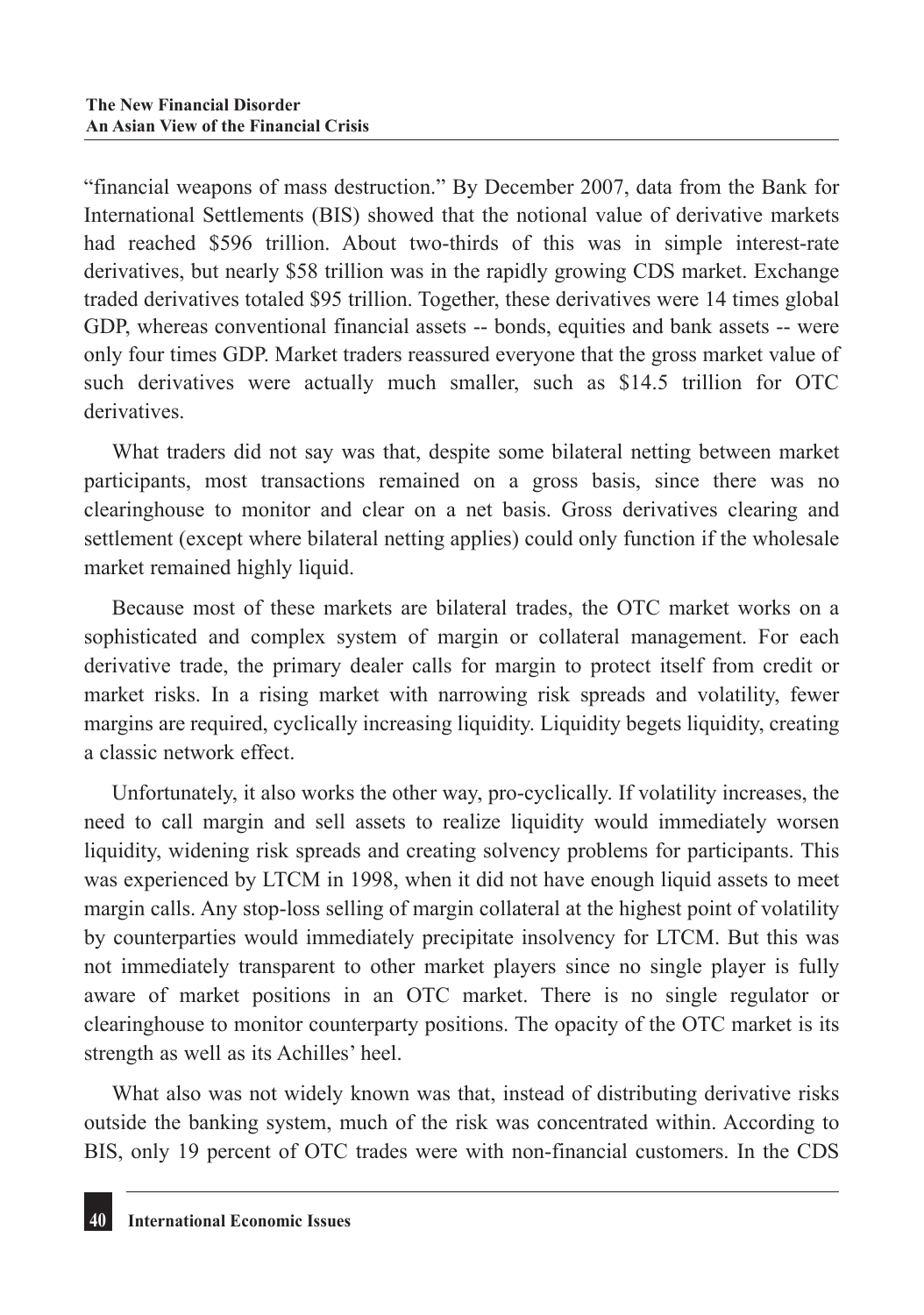"financial weapons of mass destruction." By December 2007, data from the Bank for International Settlements (BIS) showed that the notional value of derivative markets had reached \$596 trillion. About two-thirds of this was in simple interest-rate derivatives, but nearly \$58 trillion was in the rapidly growing CDS market. Exchange traded derivatives totaled \$95 trillion. Together, these derivatives were 14 times global GDP, whereas conventional financial assets -- bonds, equities and bank assets -- were only four times GDP. Market traders reassured everyone that the gross market value of such derivatives were actually much smaller, such as \$14.5 trillion for OTC derivatives.

What traders did not say was that, despite some bilateral netting between market participants, most transactions remained on a gross basis, since there was no clearinghouse to monitor and clear on a net basis. Gross derivatives clearing and settlement (except where bilateral netting applies) could only function if the wholesale market remained highly liquid.

Because most of these markets are bilateral trades, the OTC market works on a sophisticated and complex system of margin or collateral management. For each derivative trade, the primary dealer calls for margin to protect itself from credit or market risks. In a rising market with narrowing risk spreads and volatility, fewer margins are required, cyclically increasing liquidity. Liquidity begets liquidity, creating a classic network effect.

Unfortunately, it also works the other way, pro-cyclically. If volatility increases, the need to call margin and sell assets to realize liquidity would immediately worsen liquidity, widening risk spreads and creating solvency problems for participants. This was experienced by LTCM in 1998, when it did not have enough liquid assets to meet margin calls. Any stop-loss selling of margin collateral at the highest point of volatility by counterparties would immediately precipitate insolvency for LTCM. But this was not immediately transparent to other market players since no single player is fully aware of market positions in an OTC market. There is no single regulator or clearinghouse to monitor counterparty positions. The opacity of the OTC market is its strength as well as its Achilles' heel.

What also was not widely known was that, instead of distributing derivative risks outside the banking system, much of the risk was concentrated within. According to BIS, only 19 percent of OTC trades were with non-financial customers. In the CDS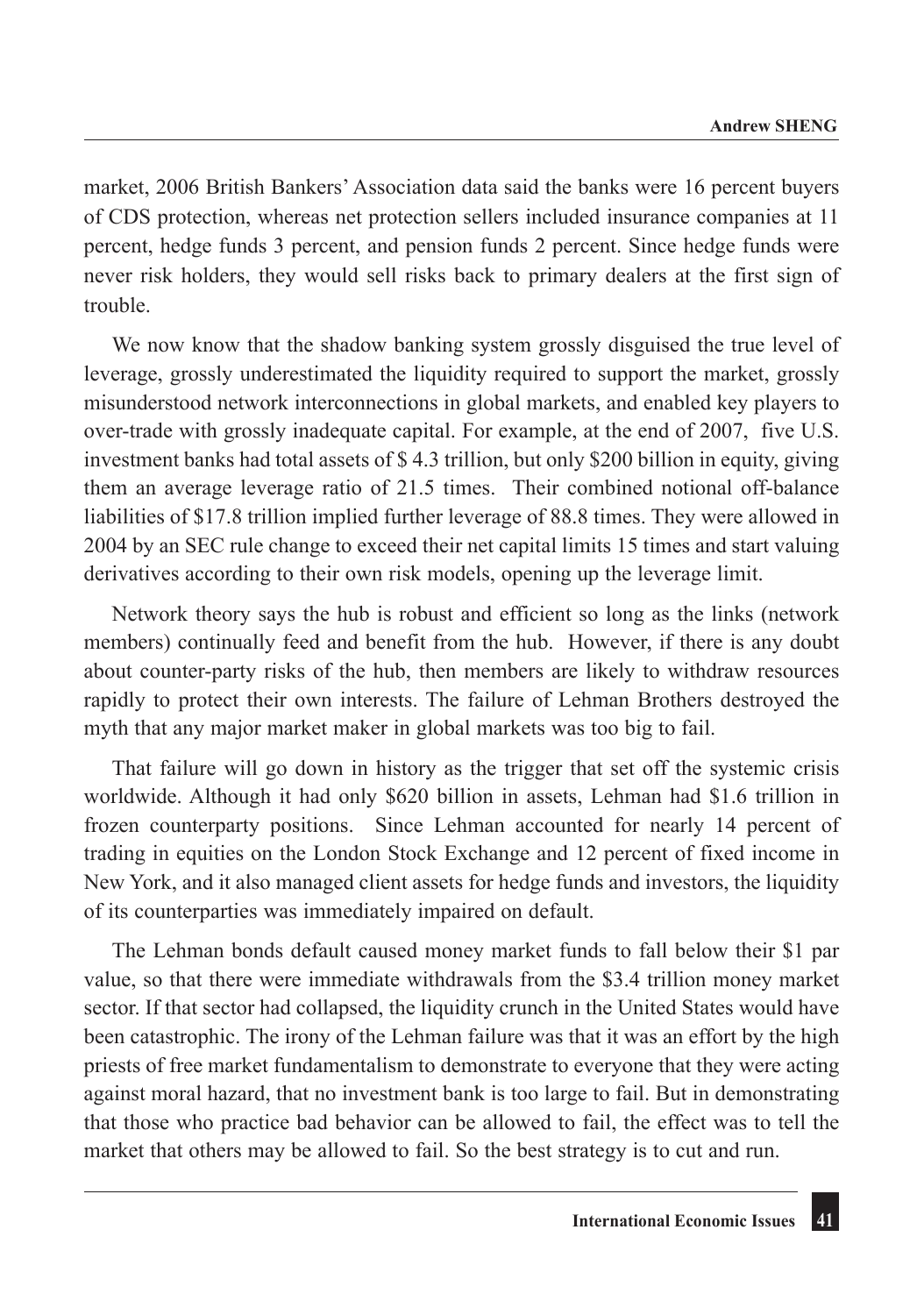market, 2006 British Bankers' Association data said the banks were 16 percent buyers of CDS protection, whereas net protection sellers included insurance companies at 11 percent, hedge funds 3 percent, and pension funds 2 percent. Since hedge funds were never risk holders, they would sell risks back to primary dealers at the first sign of trouble.

We now know that the shadow banking system grossly disguised the true level of leverage, grossly underestimated the liquidity required to support the market, grossly misunderstood network interconnections in global markets, and enabled key players to over-trade with grossly inadequate capital. For example, at the end of 2007, five U.S. investment banks had total assets of \$ 4.3 trillion, but only \$200 billion in equity, giving them an average leverage ratio of 21.5 times. Their combined notional off-balance liabilities of \$17.8 trillion implied further leverage of 88.8 times. They were allowed in 2004 by an SEC rule change to exceed their net capital limits 15 times and start valuing derivatives according to their own risk models, opening up the leverage limit.

Network theory says the hub is robust and efficient so long as the links (network members) continually feed and benefit from the hub. However, if there is any doubt about counter-party risks of the hub, then members are likely to withdraw resources rapidly to protect their own interests. The failure of Lehman Brothers destroyed the myth that any major market maker in global markets was too big to fail.

That failure will go down in history as the trigger that set off the systemic crisis worldwide. Although it had only \$620 billion in assets, Lehman had \$1.6 trillion in frozen counterparty positions. Since Lehman accounted for nearly 14 percent of trading in equities on the London Stock Exchange and 12 percent of fixed income in New York, and it also managed client assets for hedge funds and investors, the liquidity of its counterparties was immediately impaired on default.

The Lehman bonds default caused money market funds to fall below their \$1 par value, so that there were immediate withdrawals from the \$3.4 trillion money market sector. If that sector had collapsed, the liquidity crunch in the United States would have been catastrophic. The irony of the Lehman failure was that it was an effort by the high priests of free market fundamentalism to demonstrate to everyone that they were acting against moral hazard, that no investment bank is too large to fail. But in demonstrating that those who practice bad behavior can be allowed to fail, the effect was to tell the market that others may be allowed to fail. So the best strategy is to cut and run.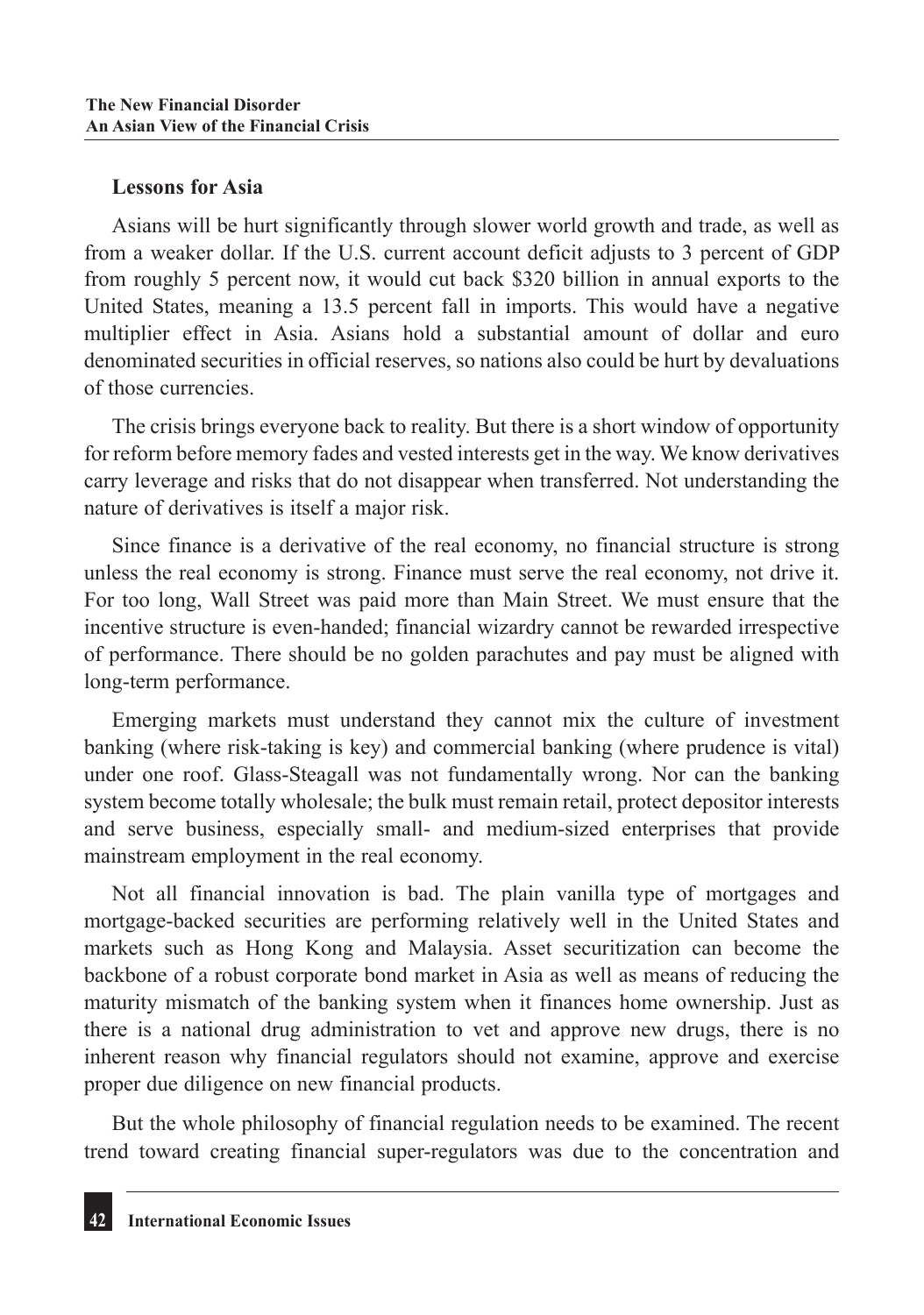#### **Lessons for Asia**

Asians will be hurt significantly through slower world growth and trade, as well as from a weaker dollar. If the U.S. current account deficit adjusts to 3 percent of GDP from roughly 5 percent now, it would cut back \$320 billion in annual exports to the United States, meaning a 13.5 percent fall in imports. This would have a negative multiplier effect in Asia. Asians hold a substantial amount of dollar and euro denominated securities in official reserves, so nations also could be hurt by devaluations of those currencies.

The crisis brings everyone back to reality. But there is a short window of opportunity for reform before memory fades and vested interests get in the way. We know derivatives carry leverage and risks that do not disappear when transferred. Not understanding the nature of derivatives is itself a major risk.

Since finance is a derivative of the real economy, no financial structure is strong unless the real economy is strong. Finance must serve the real economy, not drive it. For too long, Wall Street was paid more than Main Street. We must ensure that the incentive structure is even-handed; financial wizardry cannot be rewarded irrespective of performance. There should be no golden parachutes and pay must be aligned with long-term performance.

Emerging markets must understand they cannot mix the culture of investment banking (where risk-taking is key) and commercial banking (where prudence is vital) under one roof. Glass-Steagall was not fundamentally wrong. Nor can the banking system become totally wholesale; the bulk must remain retail, protect depositor interests and serve business, especially small- and medium-sized enterprises that provide mainstream employment in the real economy.

Not all financial innovation is bad. The plain vanilla type of mortgages and mortgage-backed securities are performing relatively well in the United States and markets such as Hong Kong and Malaysia. Asset securitization can become the backbone of a robust corporate bond market in Asia as well as means of reducing the maturity mismatch of the banking system when it finances home ownership. Just as there is a national drug administration to vet and approve new drugs, there is no inherent reason why financial regulators should not examine, approve and exercise proper due diligence on new financial products.

But the whole philosophy of financial regulation needs to be examined. The recent trend toward creating financial super-regulators was due to the concentration and